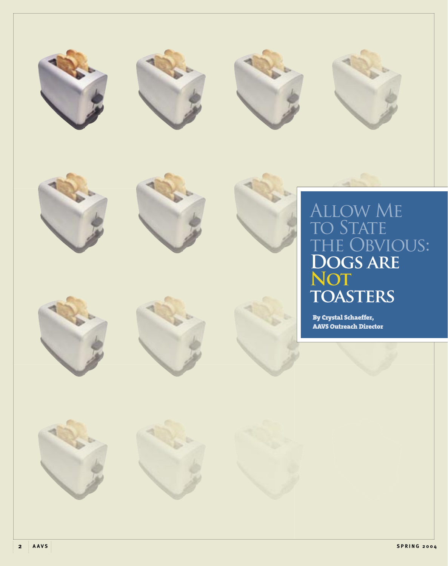















# Allow Me to State the Obvious: **Dogs are Not toasters**

By Crystal Schaeffer, AAVS Outreach Director



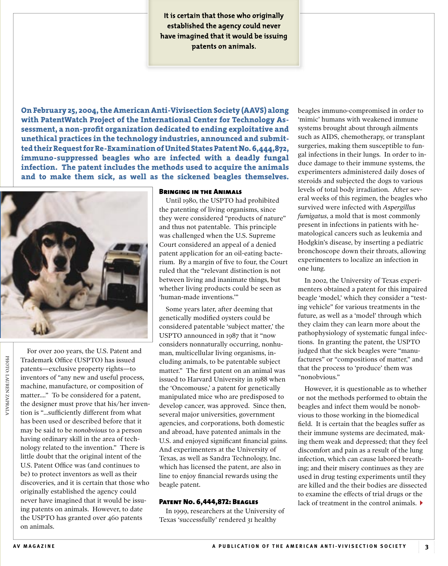**It is certain that those who originally established the agency could never have imagined that it would be issuing patents on animals.**

**On February 25, 2004, the American Anti-Vivisection Society (AAVS) along with PatentWatch Project of the International Center for Technology As**sessment, a non-profit organization dedicated to ending exploitative and **unethical practices in the technology industries, announced and submitted their Request for Re-Examination of United States Patent No. 6,444,872, immuno-suppressed beagles who are infected with a deadly fungal infection. The patent includes the methods used to acquire the animals and to make them sick, as well as the sickened beagles themselves.**



For over 200 years, the U.S. Patent and Trademark Office (USPTO) has issued patents—exclusive property rights—to inventors of "any new and useful process, machine, manufacture, or composition of matter...." To be considered for a patent, the designer must prove that his/her invention is "...sufficiently different from what has been used or described before that it may be said to be *nonobvious* to a person having ordinary skill in the area of technology related to the invention." There is little doubt that the original intent of the U.S. Patent Office was (and continues to be) to protect inventors as well as their discoveries, and it is certain that those who originally established the agency could never have imagined that it would be issuing patents on animals. However, to date the USPTO has granted over 460 patents on animals.

#### Bringing in the Animals

Until 1980, the USPTO had prohibited the patenting of living organisms, since they were considered "products of nature" and thus not patentable. This principle was challenged when the U.S. Supreme Court considered an appeal of a denied patent application for an oil-eating bacterium. By a margin of five to four, the Court ruled that the "relevant distinction is not between living and inanimate things, but whether living products could be seen as 'human-made inventions.'"

Some years later, after deeming that genetically modified oysters could be considered patentable 'subject matter,' the USPTO announced in 1987 that it "now considers nonnaturally occurring, nonhuman, multicellular living organisms, including animals, to be patentable subject matter." The first patent on an animal was issued to Harvard University in 1988 when the 'Oncomouse,' a patent for genetically manipulated mice who are predisposed to develop cancer, was approved. Since then, several major universities, government agencies, and corporations, both domestic and abroad, have patented animals in the U.S. and enjoyed significant financial gains. And experimenters at the University of Texas, as well as Sandra Technology, Inc. which has licensed the patent, are also in line to enjoy financial rewards using the beagle patent.

### Patent No. 6,444,872: Beagles

In 1999, researchers at the University of Texas 'successfully' rendered 31 healthy

beagles immuno-compromised in order to 'mimic' humans with weakened immune systems brought about through ailments such as AIDS, chemotherapy, or transplant surgeries, making them susceptible to fungal infections in their lungs. In order to induce damage to their immune systems, the experimenters administered daily doses of steroids and subjected the dogs to various levels of total body irradiation. After several weeks of this regimen, the beagles who survived were infected with *Aspergillus fumigatus*, a mold that is most commonly present in infections in patients with hematological cancers such as leukemia and Hodgkin's disease, by inserting a pediatric bronchoscope down their throats, allowing experimenters to localize an infection in one lung.

In 2002, the University of Texas experimenters obtained a patent for this impaired beagle 'model,' which they consider a "testing vehicle" for various treatments in the future, as well as a 'model' through which they claim they can learn more about the pathophysiology of systematic fungal infections. In granting the patent, the USPTO judged that the sick beagles were "manufactures" or "compositions of matter," and that the process to 'produce' them was "nonobvious."

However, it is questionable as to whether or not the methods performed to obtain the beagles and infect them would be nonobvious to those working in the biomedical field. It is certain that the beagles suffer as their immune systems are decimated, making them weak and depressed; that they feel discomfort and pain as a result of the lung infection, which can cause labored breathing; and their misery continues as they are used in drug testing experiments until they are killed and the their bodies are dissected to examine the effects of trial drugs or the lack of treatment in the control animals.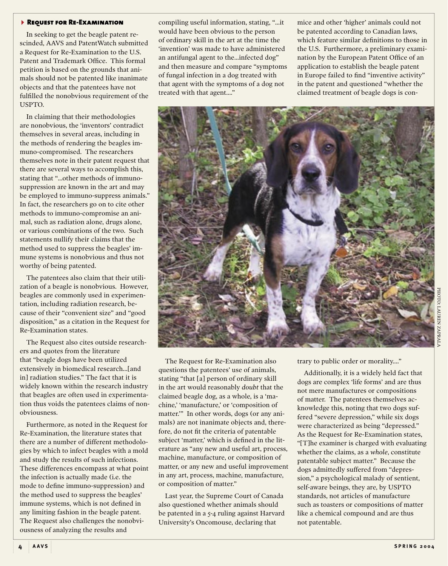#### **REQUEST FOR RE-EXAMINATION**

In seeking to get the beagle patent rescinded, AAVS and PatentWatch submitted a Request for Re-Examination to the U.S. Patent and Trademark Office. This formal petition is based on the grounds that animals should not be patented like inanimate objects and that the patentees have not fulfilled the nonobvious requirement of the USPTO.

In claiming that their methodologies are nonobvious, the 'inventors' contradict themselves in several areas, including in the methods of rendering the beagles immuno-compromised. The researchers themselves note in their patent request that there are several ways to accomplish this, stating that "...other methods of immunosuppression are known in the art and may be employed to immuno-suppress animals." In fact, the researchers go on to cite other methods to immuno-compromise an animal, such as radiation alone, drugs alone, or various combinations of the two. Such statements nullify their claims that the method used to suppress the beagles' immune systems is nonobvious and thus not worthy of being patented.

The patentees also claim that their utilization of a beagle is nonobvious. However, beagles are commonly used in experimentation, including radiation research, because of their "convenient size" and "good disposition," as a citation in the Request for Re-Examination states.

The Request also cites outside researchers and quotes from the literature that "beagle dogs have been utilized extensively in biomedical research...[and in] radiation studies." The fact that it is widely known within the research industry that beagles are often used in experimentation thus voids the patentees claims of nonobviousness.

Furthermore, as noted in the Request for Re-Examination, the literature states that there are a number of different methodologies by which to infect beagles with a mold and study the results of such infections. These differences encompass at what point the infection is actually made (i.e. the mode to define immuno-suppression) and the method used to suppress the beagles' immune systems, which is not defined in any limiting fashion in the beagle patent. The Request also challenges the nonobviousness of analyzing the results and

compiling useful information, stating, "...it would have been obvious to the person of ordinary skill in the art at the time the 'invention' was made to have administered an antifungal agent to the...infected dog" and then measure and compare "symptoms of fungal infection in a dog treated with that agent with the symptoms of a dog not treated with that agent...."

mice and other 'higher' animals could not be patented according to Canadian laws, which feature similar definitions to those in the U.S. Furthermore, a preliminary examination by the European Patent Office of an application to establish the beagle patent in Europe failed to find "inventive activity" in the patent and questioned "whether the claimed treatment of beagle dogs is con-



The Request for Re-Examination also questions the patentees' use of animals, stating "that [a] person of ordinary skill in the art would reasonably *doubt* that the claimed beagle dog, as a whole, is a 'machine,' 'manufacture,' or 'composition of matter.'" In other words, dogs (or any animals) are not inanimate objects and, therefore, do not fit the criteria of patentable subject 'matter,' which is defined in the literature as "any new and useful art, process, machine, manufacture, or composition of matter, or any new and useful improvement in any art, process, machine, manufacture, or composition of matter."

Last year, the Supreme Court of Canada also questioned whether animals should be patented in a 5-4 ruling against Harvard University's Oncomouse, declaring that

trary to public order or morality...."

Additionally, it is a widely held fact that dogs are complex 'life forms' and are thus not mere manufactures or compositions of matter. The patentees themselves acknowledge this, noting that two dogs suffered "severe depression," while six dogs were characterized as being "depressed." As the Request for Re-Examination states, "[T]he examiner is charged with evaluating whether the claims, as a *whole*, constitute patentable subject matter." Because the dogs admittedly suffered from "depression," a psychological malady of sentient, self-aware beings, they are, by USPTO standards, not articles of manufacture such as toasters or compositions of matter like a chemical compound and are thus not patentable.